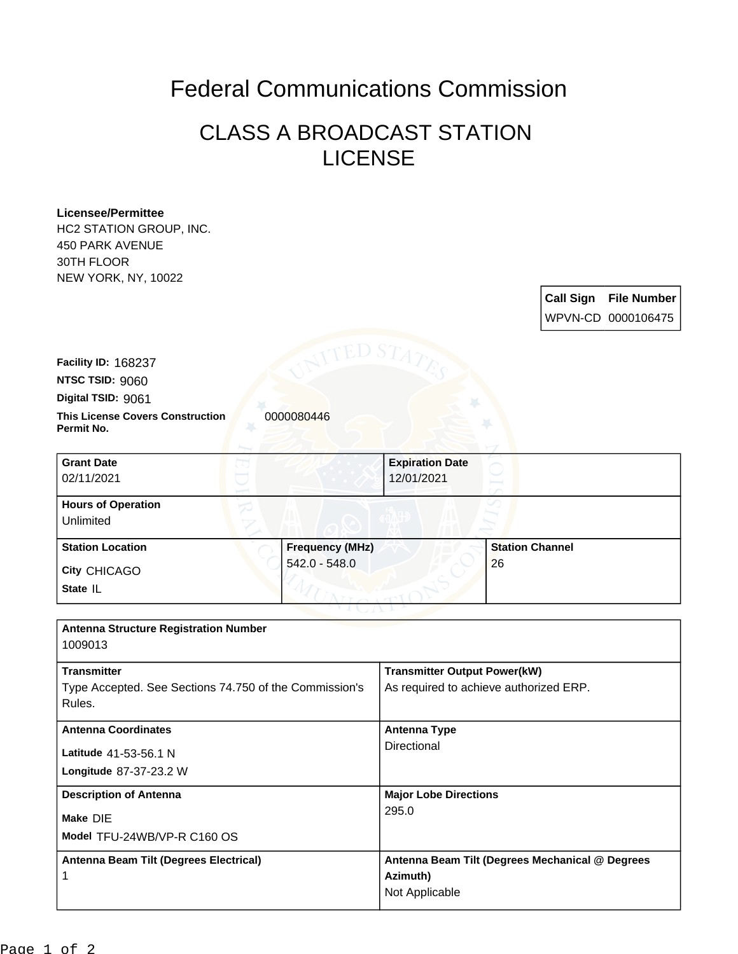## Federal Communications Commission

## CLASS A BROADCAST STATION LICENSE

## **Licensee/Permittee**

**Permit No.**

**State** IL

Unlimited

HC2 STATION GROUP, INC. 450 PARK AVENUE 30TH FLOOR NEW YORK, NY, 10022

**Call Sign File Number** WPVN-CD 0000106475 **This License Covers Construction 0000080446 Digital TSID:** 9061 **NTSC TSID:** 9060 **Facility ID:** 168237 **City** CHICAGO **Grant Date** 02/11/2021 **Expiration Date** 12/01/2021 **Hours of Operation Station Location Frequency (MHz)** 542.0 - 548.0 **Station Channel** 26 **Antenna Structure Registration Number**

| 1009013                                                          |                                                 |
|------------------------------------------------------------------|-------------------------------------------------|
| <b>Transmitter</b>                                               | <b>Transmitter Output Power(kW)</b>             |
| Type Accepted. See Sections 74.750 of the Commission's<br>Rules. | As required to achieve authorized ERP.          |
| <b>Antenna Coordinates</b>                                       | <b>Antenna Type</b>                             |
| Latitude 41-53-56.1 N                                            | Directional                                     |
| <b>Longitude 87-37-23.2 W</b>                                    |                                                 |
| <b>Description of Antenna</b>                                    | <b>Major Lobe Directions</b>                    |
| Make DIE                                                         | 295.0                                           |
| Model TFU-24WB/VP-R C160 OS                                      |                                                 |
| Antenna Beam Tilt (Degrees Electrical)                           | Antenna Beam Tilt (Degrees Mechanical @ Degrees |
|                                                                  | Azimuth)                                        |
|                                                                  | Not Applicable                                  |